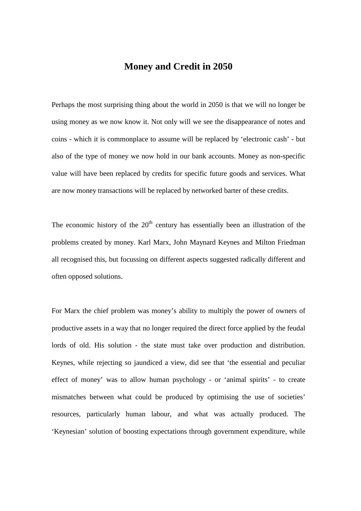## **Money and Credit in 2050**

Perhaps the most surprising thing about the world in 2050 is that we will no longer be using money as we now know it. Not only will we see the disappearance of notes and coins - which it is commonplace to assume will be replaced by 'electronic cash' - but also of the type of money we now hold in our bank accounts. Money as non-specific value will have been replaced by credits for specific future goods and services. What are now money transactions will be replaced by networked barter of these credits.

The economic history of the  $20<sup>th</sup>$  century has essentially been an illustration of the problems created by money. Karl Marx, John Maynard Keynes and Milton Friedman all recognised this, but focussing on different aspects suggested radically different and often opposed solutions.

For Marx the chief problem was money's ability to multiply the power of owners of productive assets in a way that no longer required the direct force applied by the feudal lords of old. His solution - the state must take over production and distribution. Keynes, while rejecting so jaundiced a view, did see that 'the essential and peculiar effect of money' was to allow human psychology - or 'animal spirits' - to create mismatches between what could be produced by optimising the use of societies' resources, particularly human labour, and what was actually produced. The 'Keynesian' solution of boosting expectations through government expenditure, while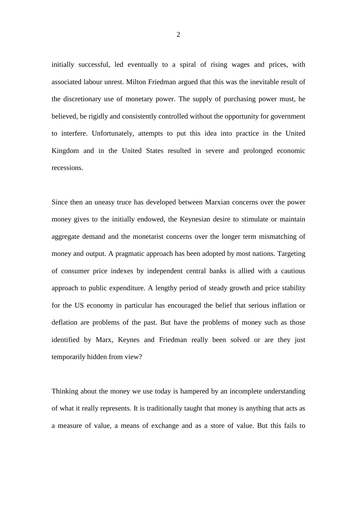initially successful, led eventually to a spiral of rising wages and prices, with associated labour unrest. Milton Friedman argued that this was the inevitable result of the discretionary use of monetary power. The supply of purchasing power must, he believed, be rigidly and consistently controlled without the opportunity for government to interfere. Unfortunately, attempts to put this idea into practice in the United Kingdom and in the United States resulted in severe and prolonged economic recessions.

Since then an uneasy truce has developed between Marxian concerns over the power money gives to the initially endowed, the Keynesian desire to stimulate or maintain aggregate demand and the monetarist concerns over the longer term mismatching of money and output. A pragmatic approach has been adopted by most nations. Targeting of consumer price indexes by independent central banks is allied with a cautious approach to public expenditure. A lengthy period of steady growth and price stability for the US economy in particular has encouraged the belief that serious inflation or deflation are problems of the past. But have the problems of money such as those identified by Marx, Keynes and Friedman really been solved or are they just temporarily hidden from view?

Thinking about the money we use today is hampered by an incomplete understanding of what it really represents. It is traditionally taught that money is anything that acts as a measure of value, a means of exchange and as a store of value. But this fails to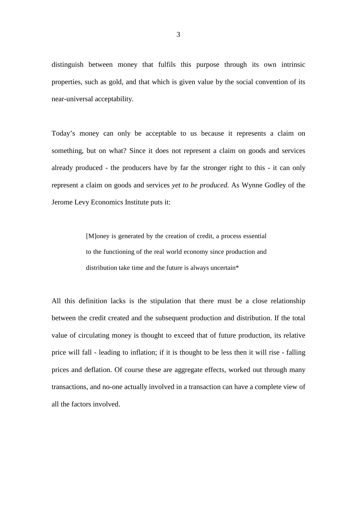distinguish between money that fulfils this purpose through its own intrinsic properties, such as gold, and that which is given value by the social convention of its near-universal acceptability.

Today's money can only be acceptable to us because it represents a claim on something, but on what? Since it does not represent a claim on goods and services already produced - the producers have by far the stronger right to this - it can only represent a claim on goods and services *yet to be produced*. As Wynne Godley of the Jerome Levy Economics Institute puts it:

> [M]oney is generated by the creation of credit, a process essential to the functioning of the real world economy since production and distribution take time and the future is always uncertain\*

All this definition lacks is the stipulation that there must be a close relationship between the credit created and the subsequent production and distribution. If the total value of circulating money is thought to exceed that of future production, its relative price will fall - leading to inflation; if it is thought to be less then it will rise - falling prices and deflation. Of course these are aggregate effects, worked out through many transactions, and no-one actually involved in a transaction can have a complete view of all the factors involved.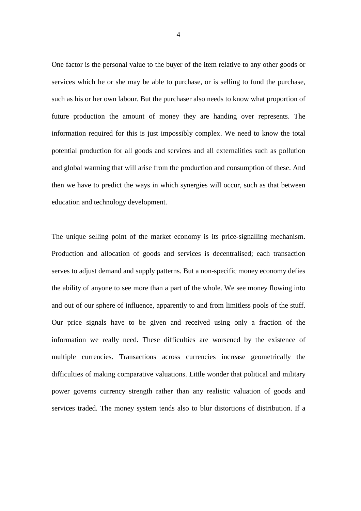One factor is the personal value to the buyer of the item relative to any other goods or services which he or she may be able to purchase, or is selling to fund the purchase, such as his or her own labour. But the purchaser also needs to know what proportion of future production the amount of money they are handing over represents. The information required for this is just impossibly complex. We need to know the total potential production for all goods and services and all externalities such as pollution and global warming that will arise from the production and consumption of these. And then we have to predict the ways in which synergies will occur, such as that between education and technology development.

The unique selling point of the market economy is its price-signalling mechanism. Production and allocation of goods and services is decentralised; each transaction serves to adjust demand and supply patterns. But a non-specific money economy defies the ability of anyone to see more than a part of the whole. We see money flowing into and out of our sphere of influence, apparently to and from limitless pools of the stuff. Our price signals have to be given and received using only a fraction of the information we really need. These difficulties are worsened by the existence of multiple currencies. Transactions across currencies increase geometrically the difficulties of making comparative valuations. Little wonder that political and military power governs currency strength rather than any realistic valuation of goods and services traded. The money system tends also to blur distortions of distribution. If a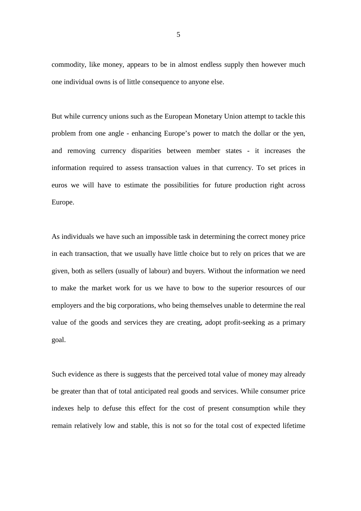commodity, like money, appears to be in almost endless supply then however much one individual owns is of little consequence to anyone else.

But while currency unions such as the European Monetary Union attempt to tackle this problem from one angle - enhancing Europe's power to match the dollar or the yen, and removing currency disparities between member states - it increases the information required to assess transaction values in that currency. To set prices in euros we will have to estimate the possibilities for future production right across Europe.

As individuals we have such an impossible task in determining the correct money price in each transaction, that we usually have little choice but to rely on prices that we are given, both as sellers (usually of labour) and buyers. Without the information we need to make the market work for us we have to bow to the superior resources of our employers and the big corporations, who being themselves unable to determine the real value of the goods and services they are creating, adopt profit-seeking as a primary goal.

Such evidence as there is suggests that the perceived total value of money may already be greater than that of total anticipated real goods and services. While consumer price indexes help to defuse this effect for the cost of present consumption while they remain relatively low and stable, this is not so for the total cost of expected lifetime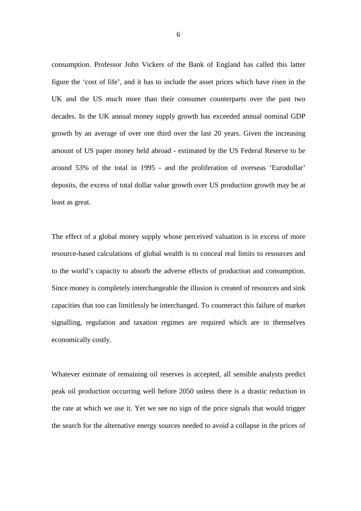consumption. Professor John Vickers of the Bank of England has called this latter figure the 'cost of life', and it has to include the asset prices which have risen in the UK and the US much more than their consumer counterparts over the past two decades. In the UK annual money supply growth has exceeded annual nominal GDP growth by an average of over one third over the last 20 years. Given the increasing amount of US paper money held abroad - estimated by the US Federal Reserve to be around 53% of the total in 1995 - and the proliferation of overseas 'Eurodollar' deposits, the excess of total dollar value growth over US production growth may be at least as great.

The effect of a global money supply whose perceived valuation is in excess of more resource-based calculations of global wealth is to conceal real limits to resources and to the world's capacity to absorb the adverse effects of production and consumption. Since money is completely interchangeable the illusion is created of resources and sink capacities that too can limitlessly be interchanged. To counteract this failure of market signalling, regulation and taxation regimes are required which are in themselves economically costly.

Whatever estimate of remaining oil reserves is accepted, all sensible analysts predict peak oil production occurring well before 2050 unless there is a drastic reduction in the rate at which we use it. Yet we see no sign of the price signals that would trigger the search for the alternative energy sources needed to avoid a collapse in the prices of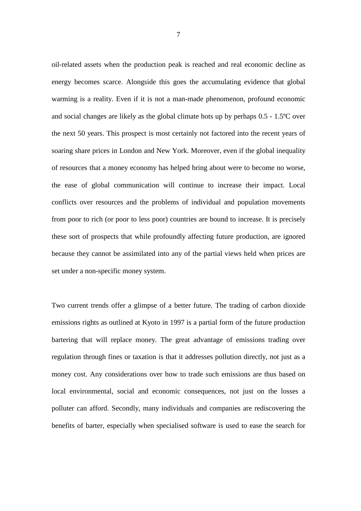oil-related assets when the production peak is reached and real economic decline as energy becomes scarce. Alongside this goes the accumulating evidence that global warming is a reality. Even if it is not a man-made phenomenon, profound economic and social changes are likely as the global climate hots up by perhaps 0.5 - 1.5ºC over the next 50 years. This prospect is most certainly not factored into the recent years of soaring share prices in London and New York. Moreover, even if the global inequality of resources that a money economy has helped bring about were to become no worse, the ease of global communication will continue to increase their impact. Local conflicts over resources and the problems of individual and population movements from poor to rich (or poor to less poor) countries are bound to increase. It is precisely these sort of prospects that while profoundly affecting future production, are ignored because they cannot be assimilated into any of the partial views held when prices are set under a non-specific money system.

Two current trends offer a glimpse of a better future. The trading of carbon dioxide emissions rights as outlined at Kyoto in 1997 is a partial form of the future production bartering that will replace money. The great advantage of emissions trading over regulation through fines or taxation is that it addresses pollution directly, not just as a money cost. Any considerations over how to trade such emissions are thus based on local environmental, social and economic consequences, not just on the losses a polluter can afford. Secondly, many individuals and companies are rediscovering the benefits of barter, especially when specialised software is used to ease the search for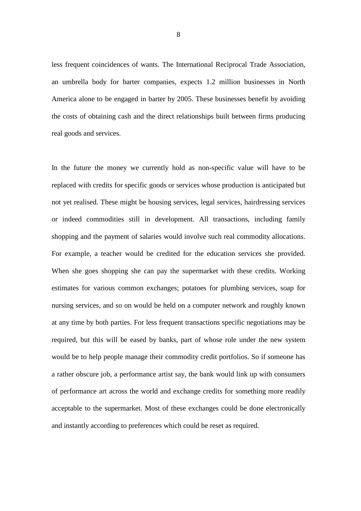less frequent coincidences of wants. The International Reciprocal Trade Association, an umbrella body for barter companies, expects 1.2 million businesses in North America alone to be engaged in barter by 2005. These businesses benefit by avoiding the costs of obtaining cash and the direct relationships built between firms producing real goods and services.

In the future the money we currently hold as non-specific value will have to be replaced with credits for specific goods or services whose production is anticipated but not yet realised. These might be housing services, legal services, hairdressing services or indeed commodities still in development. All transactions, including family shopping and the payment of salaries would involve such real commodity allocations. For example, a teacher would be credited for the education services she provided. When she goes shopping she can pay the supermarket with these credits. Working estimates for various common exchanges; potatoes for plumbing services, soap for nursing services, and so on would be held on a computer network and roughly known at any time by both parties. For less frequent transactions specific negotiations may be required, but this will be eased by banks, part of whose role under the new system would be to help people manage their commodity credit portfolios. So if someone has a rather obscure job, a performance artist say, the bank would link up with consumers of performance art across the world and exchange credits for something more readily acceptable to the supermarket. Most of these exchanges could be done electronically and instantly according to preferences which could be reset as required.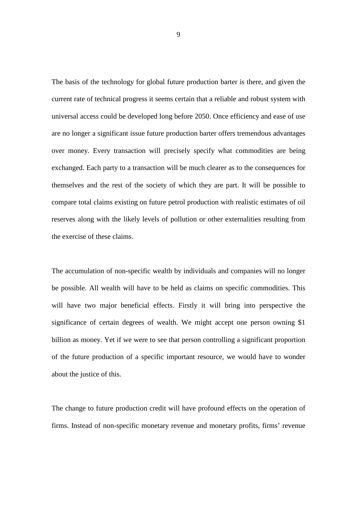The basis of the technology for global future production barter is there, and given the current rate of technical progress it seems certain that a reliable and robust system with universal access could be developed long before 2050. Once efficiency and ease of use are no longer a significant issue future production barter offers tremendous advantages over money. Every transaction will precisely specify what commodities are being exchanged. Each party to a transaction will be much clearer as to the consequences for themselves and the rest of the society of which they are part. It will be possible to compare total claims existing on future petrol production with realistic estimates of oil reserves along with the likely levels of pollution or other externalities resulting from the exercise of these claims.

The accumulation of non-specific wealth by individuals and companies will no longer be possible. All wealth will have to be held as claims on specific commodities. This will have two major beneficial effects. Firstly it will bring into perspective the significance of certain degrees of wealth. We might accept one person owning \$1 billion as money. Yet if we were to see that person controlling a significant proportion of the future production of a specific important resource, we would have to wonder about the justice of this.

The change to future production credit will have profound effects on the operation of firms. Instead of non-specific monetary revenue and monetary profits, firms' revenue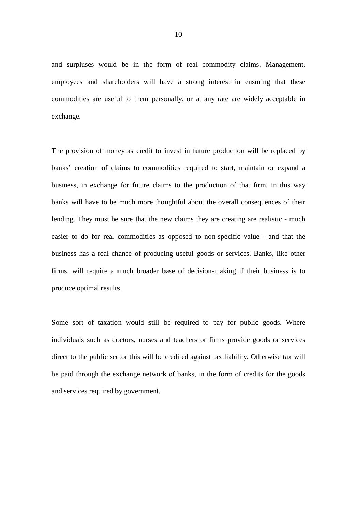and surpluses would be in the form of real commodity claims. Management, employees and shareholders will have a strong interest in ensuring that these commodities are useful to them personally, or at any rate are widely acceptable in exchange.

The provision of money as credit to invest in future production will be replaced by banks' creation of claims to commodities required to start, maintain or expand a business, in exchange for future claims to the production of that firm. In this way banks will have to be much more thoughtful about the overall consequences of their lending. They must be sure that the new claims they are creating are realistic - much easier to do for real commodities as opposed to non-specific value - and that the business has a real chance of producing useful goods or services. Banks, like other firms, will require a much broader base of decision-making if their business is to produce optimal results.

Some sort of taxation would still be required to pay for public goods. Where individuals such as doctors, nurses and teachers or firms provide goods or services direct to the public sector this will be credited against tax liability. Otherwise tax will be paid through the exchange network of banks, in the form of credits for the goods and services required by government.